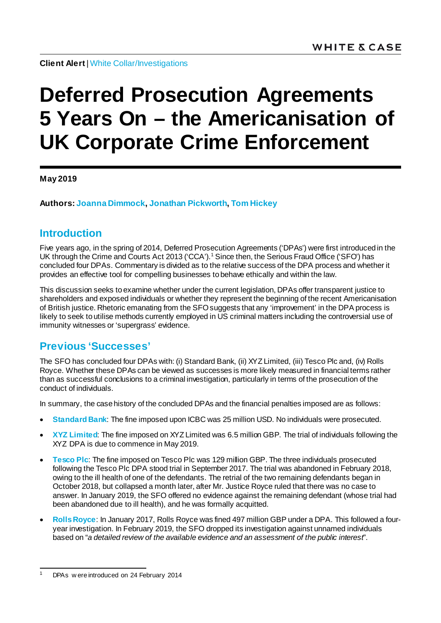**Client Alert**[| White Collar/Investigations](https://www.whitecase.com/law/practices/white-collar-investigations)

# **Deferred Prosecution Agreements 5 Years On – the Americanisation of UK Corporate Crime Enforcement**

**May 2019**

**Authors[: Joanna Dimmock](https://www.whitecase.com/people/joanna-dimmock), [Jonathan Pickworth,](https://www.whitecase.com/people/jonathan-pickworth) Tom [Hickey](https://www.whitecase.com/people/tom-hickey)**

## **Introduction**

Five years ago, in the spring of 2014, Deferred Prosecution Agreements ('DPAs') were first introduced in the UK through the Crime and Courts Act 20[1](#page-0-0)3 ('CCA').<sup>1</sup> Since then, the Serious Fraud Office ('SFO') has concluded four DPAs. Commentary is divided as to the relative success of the DPA process and whether it provides an effective tool for compelling businesses to behave ethically and within the law.

This discussion seeks to examine whether under the current legislation, DPAs offer transparent justice to shareholders and exposed individuals or whether they represent the beginning of the recent Americanisation of British justice. Rhetoric emanating from the SFO suggests that any 'improvement' in the DPA process is likely to seek to utilise methods currently employed in US criminal matters including the controversial use of immunity witnesses or 'supergrass' evidence.

## **Previous 'Successes'**

The SFO has concluded four DPAs with: (i) Standard Bank, (ii) XYZ Limited, (iii) Tesco Plc and, (iv) Rolls Royce. Whether these DPAs can be viewed as successes is more likely measured in financial terms rather than as successful conclusions to a criminal investigation, particularly in terms of the prosecution of the conduct of individuals.

In summary, the case history of the concluded DPAs and the financial penalties imposed are as follows:

- **Standard Bank**: The fine imposed upon ICBC was 25 million USD. No individuals were prosecuted.
- **XYZ Limited**: The fine imposed on XYZ Limited was 6.5 million GBP. The trial of individuals following the XYZ DPA is due to commence in May 2019.
- **Tesco Plc**: The fine imposed on Tesco Plc was 129 million GBP. The three individuals prosecuted following the Tesco Plc DPA stood trial in September 2017. The trial was abandoned in February 2018, owing to the ill health of one of the defendants. The retrial of the two remaining defendants began in October 2018, but collapsed a month later, after Mr. Justice Royce ruled that there was no case to answer. In January 2019, the SFO offered no evidence against the remaining defendant (whose trial had been abandoned due to ill health), and he was formally acquitted.
- **Rolls Royce**: In January 2017, Rolls Royce was fined 497 million GBP under a DPA. This followed a fouryear investigation. In February 2019, the SFO dropped its investigation against unnamed individuals based on "*a detailed review of the available evidence and an assessment of the public interest*".

<span id="page-0-0"></span><sup>&</sup>lt;sup>1</sup> DPAs w ere introduced on 24 February 2014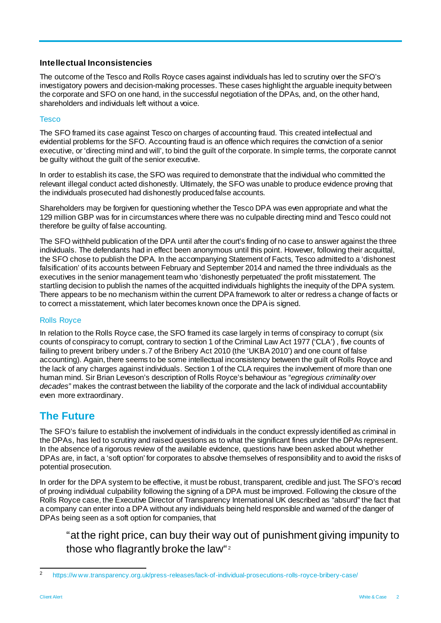### **Intellectual Inconsistencies**

The outcome of the Tesco and Rolls Royce cases against individuals has led to scrutiny over the SFO's investigatory powers and decision-making processes. These cases highlight the arguable inequity between the corporate and SFO on one hand, in the successful negotiation of the DPAs, and, on the other hand, shareholders and individuals left without a voice.

#### **Tesco**

The SFO framed its case against Tesco on charges of accounting fraud. This created intellectual and evidential problems for the SFO. Accounting fraud is an offence which requires the conviction of a senior executive, or 'directing mind and will', to bind the guilt of the corporate. In simple terms, the corporate cannot be guilty without the guilt of the senior executive.

In order to establish its case, the SFO was required to demonstrate that the individual who committed the relevant illegal conduct acted dishonestly. Ultimately, the SFO was unable to produce evidence proving that the individuals prosecuted had dishonestly produced false accounts.

Shareholders may be forgiven for questioning whether the Tesco DPA was even appropriate and what the 129 million GBP was for in circumstances where there was no culpable directing mind and Tesco could not therefore be guilty of false accounting.

The SFO withheld publication of the DPA until after the court's finding of no case to answer against the three individuals. The defendants had in effect been anonymous until this point. However, following their acquittal, the SFO chose to publish the DPA. In the accompanying Statement of Facts, Tesco admitted to a 'dishonest falsification' of its accounts between February and September 2014 and named the three individuals as the executives in the senior management team who 'dishonestly perpetuated' the profit misstatement. The startling decision to publish the names of the acquitted individuals highlights the inequity of the DPA system. There appears to be no mechanism within the current DPA framework to alter or redress a change of facts or to correct a misstatement, which later becomes known once the DPA is signed.

#### Rolls Royce

In relation to the Rolls Royce case, the SFO framed its case largely in terms of conspiracy to corrupt (six counts of conspiracy to corrupt, contrary to section 1 of the Criminal Law Act 1977 ('CLA') , five counts of failing to prevent bribery under s.7 of the Bribery Act 2010 (the 'UKBA 2010') and one count of false accounting). Again, there seems to be some intellectual inconsistency between the guilt of Rolls Royce and the lack of any charges against individuals. Section 1 of the CLA requires the involvement of more than one human mind. Sir Brian Leveson's description of Rolls Royce's behaviour as "*egregious criminality over decades*" makes the contrast between the liability of the corporate and the lack of individual accountability even more extraordinary.

## **The Future**

The SFO's failure to establish the involvement of individuals in the conduct expressly identified as criminal in the DPAs, has led to scrutiny and raised questions as to what the significant fines under the DPAs represent. In the absence of a rigorous review of the available evidence, questions have been asked about whether DPAs are, in fact, a 'soft option' for corporates to absolve themselves of responsibility and to avoid the risks of potential prosecution.

In order for the DPA system to be effective, it must be robust, transparent, credible and just. The SFO's record of proving individual culpability following the signing of a DPA must be improved. Following the closure of the Rolls Royce case, the Executive Director of Transparency International UK described as "absurd" the fact that a company can enter into a DPA without any individuals being held responsible and warned of the danger of DPAs being seen as a soft option for companies, that

"at the right price, can buy their way out of punishment giving impunity to those who flagrantly broke the law"<sup>[2](#page-1-0)</sup>

<span id="page-1-0"></span> <sup>2</sup> [https://w ww.transparency.org.uk/press-releases/lack-of-individual-prosecutions-rolls-royce-bribery-case/](https://www.transparency.org.uk/press-releases/lack-of-individual-prosecutions-rolls-royce-bribery-case/)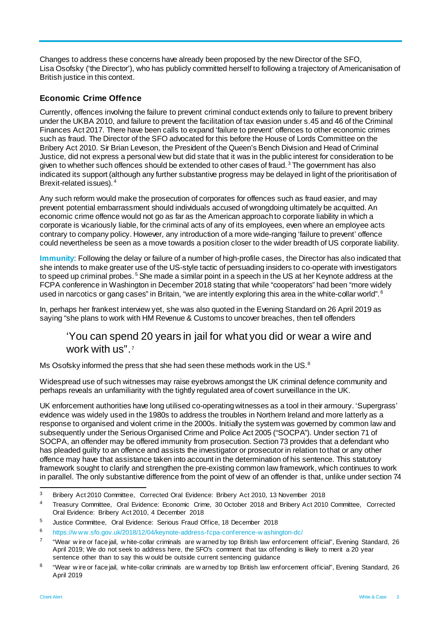Changes to address these concerns have already been proposed by the new Director of the SFO, Lisa Osofsky ('the Director'), who has publicly committed herself to following a trajectory of Americanisation of British justice in this context.

### **Economic Crime Offence**

Currently, offences involving the failure to prevent criminal conduct extends only to failure to prevent bribery under the UKBA 2010, and failure to prevent the facilitation of tax evasion under s.45 and 46 of the Criminal Finances Act 2017. There have been calls to expand 'failure to prevent' offences to other economic crimes such as fraud. The Director of the SFO advocated for this before the House of Lords Committee on the Bribery Act 2010. Sir Brian Leveson, the President of the Queen's Bench Division and Head of Criminal Justice, did not express a personal view but did state that it was in the public interest for consideration to be given to whether such offences should be extended to other cases of fraud.<sup>[3](#page-2-0)</sup> The government has also indicated its support (although any further substantive progress may be delayed in light of the prioritisation of Brexit-related issues). [4](#page-2-1)

Any such reform would make the prosecution of corporates for offences such as fraud easier, and may prevent potential embarrassment should individuals accused of wrongdoing ultimately be acquitted. An economic crime offence would not go as far as the American approach to corporate liability in which a corporate is vicariously liable, for the criminal acts of any of its employees, even where an employee acts contrary to company policy. However, any introduction of a more wide-ranging 'failure to prevent' offence could nevertheless be seen as a move towards a position closer to the wider breadth of US corporate liability.

**Immunity**: Following the delay or failure of a number of high-profile cases, the Director has also indicated that she intends to make greater use of the US-style tactic of persuading insiders to co-operate with investigators to speed up criminal probes.<sup>[5](#page-2-2)</sup> She made a similar point in a speech in the US at her Keynote address at the FCPA conference in Washington in December 2018 stating that while "cooperators" had been "more widely used in narcotics or gang cases" in Britain, "we are intently exploring this area in the white-collar world".  $^{\rm c}$ 

In, perhaps her frankest interview yet, she was also quoted in the Evening Standard on 26 April 2019 as saying "she plans to work with HM Revenue & Customs to uncover breaches, then tell offenders

## 'You can spend 20 years in jail for what you did or wear a wire and work with us".[7](#page-2-4)

Ms Osofsky informed the press that she had seen these methods work in the US. $8$ 

Widespread use of such witnesses may raise eyebrows amongst the UK criminal defence community and perhaps reveals an unfamiliarity with the tightly regulated area of covert surveillance in the UK.

UK enforcement authorities have long utilised co-operating witnesses as a tool in their armoury. 'Supergrass' evidence was widely used in the 1980s to address the troubles in Northern Ireland and more latterly as a response to organised and violent crime in the 2000s. Initially the system was governed by common law and subsequently under the Serious Organised Crime and Police Act 2005 ("SOCPA"). Under section 71 of SOCPA, an offender may be offered immunity from prosecution. Section 73 provides that a defendant who has pleaded guilty to an offence and assists the investigator or prosecutor in relation to that or any other offence may have that assistance taken into account in the determination of his sentence. This statutory framework sought to clarify and strengthen the pre-existing common law framework, which continues to work in parallel. The only substantive difference from the point of view of an offender is that, unlike under section 74

<span id="page-2-0"></span> <sup>3</sup> Bribery Act 2010 Committee, Corrected Oral Evidence: Bribery Act 2010, 13 November 2018

<span id="page-2-1"></span><sup>4</sup> Treasury Committee, Oral Evidence: Economic Crime, 30 October 2018 and Bribery Act 2010 Committee, Corrected Oral Evidence: Bribery Act 2010, 4 December 2018

<span id="page-2-2"></span><sup>5</sup> Justice Committee, Oral Evidence: Serious Fraud Office, 18 December 2018

<span id="page-2-3"></span><sup>6</sup> [https://w ww.sfo.gov.uk/2018/12/04/keynote-address-fcpa-conference-w ashington-dc/](https://www.sfo.gov.uk/2018/12/04/keynote-address-fcpa-conference-washington-dc/)

<span id="page-2-4"></span><sup>7</sup> "Wear w ire or face jail, w hite-collar criminals are w arned by top British law enforcement official", Evening Standard, 26 April 2019; We do not seek to address here, the SFO's comment that tax offending is likely to merit a 20 year sentence other than to say this w ould be outside current sentencing guidance

<span id="page-2-5"></span><sup>&</sup>lt;sup>8</sup> "Wear w ire or face jail, w hite-collar criminals are w arned by top British law enforcement official", Evening Standard, 26 April 2019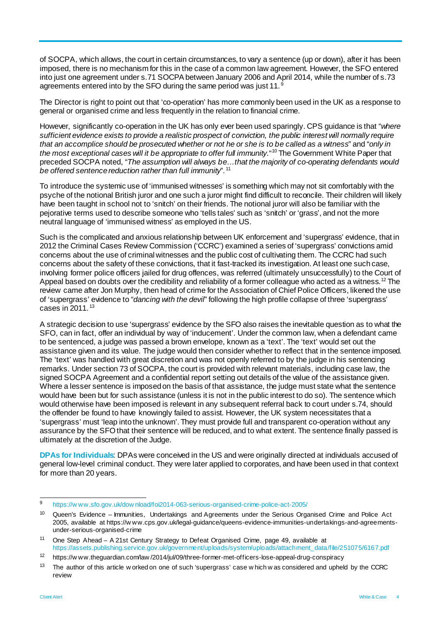of SOCPA, which allows, the court in certain circumstances, to vary a sentence (up or down), after it has been imposed, there is no mechanism for this in the case of a common law agreement. However, the SFO entered into just one agreement under s.71 SOCPA between January 2006 and April 2014, while the number of s.73 agreements entered into by the SFO during the same period was just 11.<sup>[9](#page-3-0)</sup>

The Director is right to point out that 'co-operation' has more commonly been used in the UK as a response to general or organised crime and less frequently in the relation to financial crime.

However, significantly co-operation in the UK has only ever been used sparingly. CPS guidance is that "*where sufficient evidence exists to provide a realistic prospect of conviction, the public interest will normally require that an accomplice should be prosecuted whether or not he or she is to be called as a witness*" and "*only in the most exceptional cases will it be appropriate to offer full immunity*." [10](#page-3-1) The Government White Paper that preceded SOCPA noted, "*The assumption will always be…that the majority of co-operating defendants would be offered sentence reduction rather than full immunity*". [11](#page-3-2)

To introduce the systemic use of 'immunised witnesses' is something which may not sit comfortably with the psyche of the notional British juror and one such a juror might find difficult to reconcile. Their children will likely have been taught in school not to 'snitch' on their friends. The notional juror will also be familiar with the pejorative terms used to describe someone who 'tells tales' such as 'snitch' or 'grass', and not the more neutral language of 'immunised witness' as employed in the US.

Such is the complicated and anxious relationship between UK enforcement and 'supergrass' evidence, that in 2012 the Criminal Cases Review Commission ('CCRC') examined a series of 'supergrass' convictions amid concerns about the use of criminal witnesses and the public cost of cultivating them. The CCRC had such concerns about the safety of these convictions, that it fast-tracked its investigation. At least one such case, involving former police officers jailed for drug offences, was referred (ultimately unsuccessfully) to the Court of Appeal based on doubts over the credibility and reliability of a former colleague who acted as a witness.<sup>[12](#page-3-3)</sup> The review came after Jon Murphy, then head of crime for the Association of Chief Police Officers, likened the use of 'supergrass' evidence to "*dancing with the devil*" following the high profile collapse of three 'supergrass' cases in 2011. [13](#page-3-4)

A strategic decision to use 'supergrass' evidence by the SFO also raises the inevitable question as to what the SFO, can in fact, offer an individual by way of 'inducement'. Under the common law, when a defendant came to be sentenced, a judge was passed a brown envelope, known as a 'text'. The 'text' would set out the assistance given and its value. The judge would then consider whether to reflect that in the sentence imposed. The 'text' was handled with great discretion and was not openly referred to by the judge in his sentencing remarks. Under section 73 of SOCPA, the court is provided with relevant materials, including case law, the signed SOCPA Agreement and a confidential report setting out details of the value of the assistance given. Where a lesser sentence is imposed on the basis of that assistance, the judge must state what the sentence would have been but for such assistance (unless it is not in the public interest to do so). The sentence which would otherwise have been imposed is relevant in any subsequent referral back to court under s.74, should the offender be found to have knowingly failed to assist. However, the UK system necessitates that a 'supergrass' must 'leap into the unknown'. They must provide full and transparent co-operation without any assurance by the SFO that their sentence will be reduced, and to what extent. The sentence finally passed is ultimately at the discretion of the Judge.

**DPAs for Individuals**: DPAs were conceived in the US and were originally directed at individuals accused of general low-level criminal conduct. They were later applied to corporates, and have been used in that context for more than 20 years.

<span id="page-3-0"></span> <sup>9</sup> [https://w ww.sfo.gov.uk/dow nload/foi2014-063-serious-organised-crime-police-act-2005/](https://www.sfo.gov.uk/download/foi2014-063-serious-organised-crime-police-act-2005/)

<span id="page-3-1"></span><sup>&</sup>lt;sup>10</sup> Queen's Evidence – Immunities, Undertakings and Agreements under the Serious Organised Crime and Police Act 2005, available at https://w ww.cps.gov.uk/legal-guidance/queens-evidence-immunities-undertakings-and-agreementsunder-serious-organised-crime

<span id="page-3-2"></span><sup>&</sup>lt;sup>11</sup> One Step Ahead – A 21st Century Strategy to Defeat Organised Crime, page 49, available at [https://assets.publishing.service.gov.uk/government/uploads/system/uploads/attachment\\_data/file/251075/6167.pdf](https://assets.publishing.service.gov.uk/government/uploads/system/uploads/attachment_data/file/251075/6167.pdf)

<span id="page-3-3"></span><sup>12</sup> https://w ww.theguardian.com/law /2014/jul/09/three-former-met-officers-lose-appeal-drug-conspiracy

<span id="page-3-4"></span><sup>&</sup>lt;sup>13</sup> The author of this article w orked on one of such 'supergrass' case w hich w as considered and upheld by the CCRC review